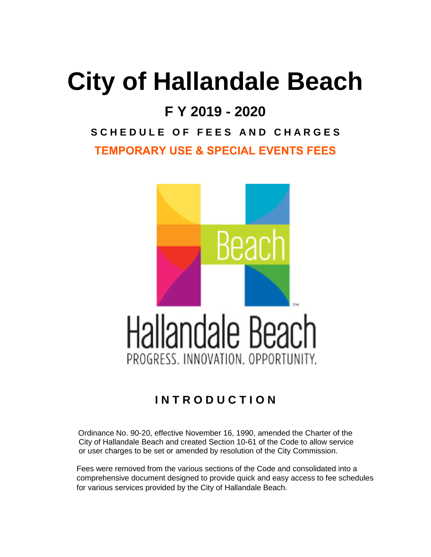## **City of Hallandale Beach**

## **F Y 2019 - 2020**

## **S C H E D U L E O F F E E S A N D C H A R G E S TEMPORARY USE & SPECIAL EVENTS FEES**



## **I N T R O D U C T I O N**

Ordinance No. 90-20, effective November 16, 1990, amended the Charter of the City of Hallandale Beach and created Section 10-61 of the Code to allow service or user charges to be set or amended by resolution of the City Commission.

 Fees were removed from the various sections of the Code and consolidated into a comprehensive document designed to provide quick and easy access to fee schedules for various services provided by the City of Hallandale Beach.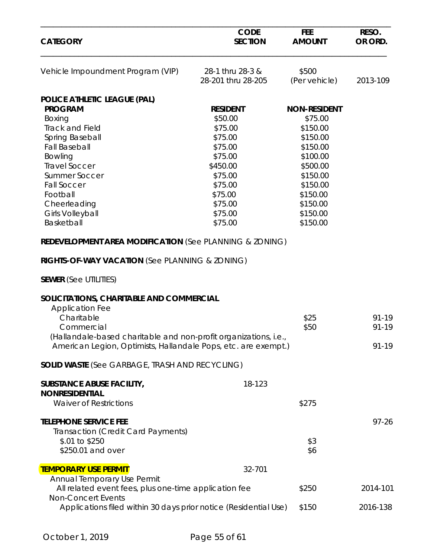| <b>CATEGORY</b>                                                                               | <b>CODE</b><br><b>SECTION</b>          | <b>FEE</b><br><b>AMOUNT</b> | RESO.<br>OR ORD. |
|-----------------------------------------------------------------------------------------------|----------------------------------------|-----------------------------|------------------|
| Vehicle Impoundment Program (VIP)                                                             | 28-1 thru 28-3 &<br>28-201 thru 28-205 | \$500<br>(Per vehicle)      | 2013-109         |
| POLICE ATHLETIC LEAGUE (PAL)                                                                  |                                        |                             |                  |
| <b>PROGRAM</b>                                                                                | <b>RESIDENT</b>                        | <b>NON-RESIDENT</b>         |                  |
| Boxing                                                                                        | \$50.00                                | \$75.00                     |                  |
| <b>Track and Field</b>                                                                        | \$75.00                                | \$150.00                    |                  |
| Spring Baseball                                                                               | \$75.00                                | \$150.00                    |                  |
| <b>Fall Baseball</b>                                                                          | \$75.00                                | \$150.00                    |                  |
| Bowling                                                                                       | \$75.00                                | \$100.00                    |                  |
| <b>Travel Soccer</b>                                                                          | \$450.00                               | \$500.00                    |                  |
| <b>Summer Soccer</b>                                                                          | \$75.00                                | \$150.00                    |                  |
| <b>Fall Soccer</b>                                                                            | \$75.00                                | \$150.00                    |                  |
| Football                                                                                      | \$75.00                                | \$150.00                    |                  |
|                                                                                               | \$75.00                                | \$150.00                    |                  |
| Cheerleading                                                                                  |                                        |                             |                  |
| <b>Girls Volleyball</b>                                                                       | \$75.00                                | \$150.00                    |                  |
| Basketball                                                                                    | \$75.00                                | \$150.00                    |                  |
| RIGHTS-OF-WAY VACATION (See PLANNING & ZONING)<br><b>SEWER</b> (See UTILITIES)                |                                        |                             |                  |
| SOLICITATIONS, CHARITABLE AND COMMERCIAL                                                      |                                        |                             |                  |
| <b>Application Fee</b>                                                                        |                                        |                             |                  |
| Charitable                                                                                    |                                        | \$25                        | $91 - 19$        |
| Commercial                                                                                    |                                        | \$50                        | 91-19            |
| (Hallandale-based charitable and non-profit organizations, i.e.,                              |                                        |                             |                  |
| American Legion, Optimists, Hallandale Pops, etc. are exempt.)                                |                                        |                             | $91 - 19$        |
| <b>SOLID WASTE (See GARBAGE, TRASH AND RECYCLING)</b>                                         |                                        |                             |                  |
| <b>SUBSTANCE ABUSE FACILITY,</b>                                                              | 18-123                                 |                             |                  |
| <b>NONRESIDENTIAL</b>                                                                         |                                        |                             |                  |
| <b>Waiver of Restrictions</b>                                                                 |                                        | \$275                       |                  |
| <b>TELEPHONE SERVICE FEE</b>                                                                  |                                        |                             | $97 - 26$        |
|                                                                                               |                                        |                             |                  |
| Transaction (Credit Card Payments)                                                            |                                        |                             |                  |
| \$.01 to \$250                                                                                |                                        | \$3                         |                  |
| \$250.01 and over                                                                             |                                        | \$6                         |                  |
| <b>TEMPORARY USE PERMIT</b>                                                                   | 32-701                                 |                             |                  |
| Annual Temporary Use Permit                                                                   |                                        |                             |                  |
| All related event fees, plus one-time application fee                                         |                                        | \$250                       | 2014-101         |
| <b>Non-Concert Events</b><br>Applications filed within 30 days prior notice (Residential Use) |                                        | \$150                       | 2016-138         |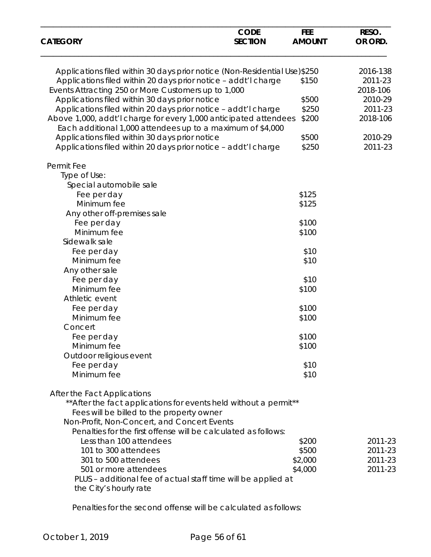| <b>CATEGORY</b>                                                                                                                | <b>CODE</b><br><b>SECTION</b> | <b>FEE</b><br><b>AMOUNT</b> | RESO.<br>OR ORD. |
|--------------------------------------------------------------------------------------------------------------------------------|-------------------------------|-----------------------------|------------------|
| Applications filed within 30 days prior notice (Non-Residential Use)\$250                                                      | 2016-138                      |                             |                  |
| Applications filed within 20 days prior notice - addt'l charge                                                                 |                               | \$150                       | 2011-23          |
| Events Attracting 250 or More Customers up to 1,000                                                                            |                               |                             | 2018-106         |
| Applications filed within 30 days prior notice                                                                                 |                               | \$500                       | 2010-29          |
| Applications filed within 20 days prior notice - addt'l charge                                                                 |                               | \$250                       | 2011-23          |
| Above 1,000, addt'l charge for every 1,000 anticipated attendees<br>Each additional 1,000 attendees up to a maximum of \$4,000 |                               | \$200                       | 2018-106         |
| Applications filed within 30 days prior notice                                                                                 |                               | \$500                       | 2010-29          |
| Applications filed within 20 days prior notice - addt'l charge                                                                 |                               | \$250                       | 2011-23          |
| Permit Fee                                                                                                                     |                               |                             |                  |
| Type of Use:                                                                                                                   |                               |                             |                  |
| Special automobile sale                                                                                                        |                               |                             |                  |
| Fee per day                                                                                                                    |                               | \$125                       |                  |
| Minimum fee                                                                                                                    |                               | \$125                       |                  |
| Any other off-premises sale                                                                                                    |                               |                             |                  |
| Fee per day                                                                                                                    |                               | \$100                       |                  |
| Minimum fee                                                                                                                    |                               | \$100                       |                  |
| Sidewalk sale                                                                                                                  |                               |                             |                  |
| Fee per day                                                                                                                    |                               | \$10                        |                  |
| Minimum fee                                                                                                                    |                               | \$10                        |                  |
| Any other sale                                                                                                                 |                               |                             |                  |
| Fee per day                                                                                                                    |                               | \$10                        |                  |
| Minimum fee                                                                                                                    |                               | \$100                       |                  |
| Athletic event                                                                                                                 |                               |                             |                  |
| Fee per day                                                                                                                    |                               | \$100                       |                  |
| Minimum fee                                                                                                                    |                               | \$100                       |                  |
| Concert                                                                                                                        |                               |                             |                  |
| Fee per day                                                                                                                    |                               | \$100                       |                  |
| Minimum fee                                                                                                                    |                               | \$100                       |                  |
| Outdoor religious event                                                                                                        |                               |                             |                  |
| Fee per day                                                                                                                    |                               | \$10                        |                  |
| Minimum fee                                                                                                                    |                               | \$10                        |                  |
| After the Fact Applications                                                                                                    |                               |                             |                  |
| ** After the fact applications for events held without a permit**                                                              |                               |                             |                  |
| Fees will be billed to the property owner                                                                                      |                               |                             |                  |
| Non-Profit, Non-Concert, and Concert Events                                                                                    |                               |                             |                  |
| Penalties for the first offense will be calculated as follows:                                                                 |                               |                             |                  |
| Less than 100 attendees                                                                                                        |                               | \$200                       | 2011-23          |
| 101 to 300 attendees                                                                                                           |                               | \$500                       | 2011-23          |
| 301 to 500 attendees                                                                                                           |                               | \$2,000                     | 2011-23          |
| 501 or more attendees                                                                                                          |                               | \$4,000                     | 2011-23          |
| PLUS - additional fee of actual staff time will be applied at                                                                  |                               |                             |                  |
| the City's hourly rate                                                                                                         |                               |                             |                  |

Penalties for the second offense will be calculated as follows: